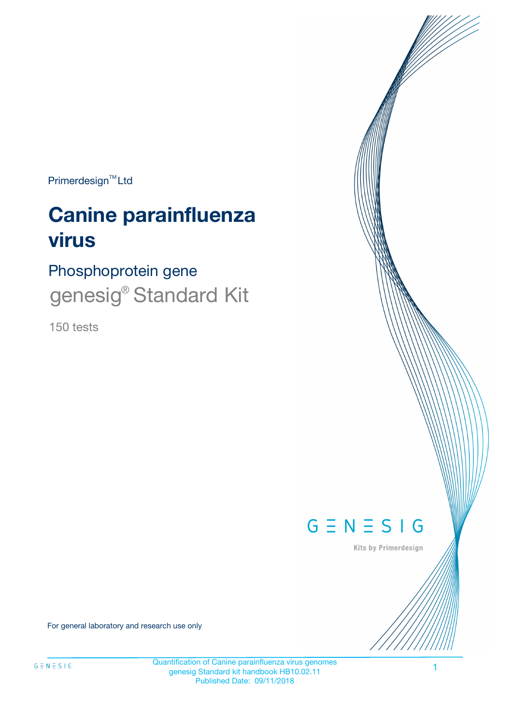Primerdesign<sup>™</sup>Ltd

# **Canine parainfluenza virus**

Phosphoprotein gene genesig<sup>®</sup> Standard Kit

150 tests



Kits by Primerdesign

For general laboratory and research use only

Quantification of Canine parainfluenza virus genomes genesig Standard kit handbook HB10.02.11 Published Date: 09/11/2018

1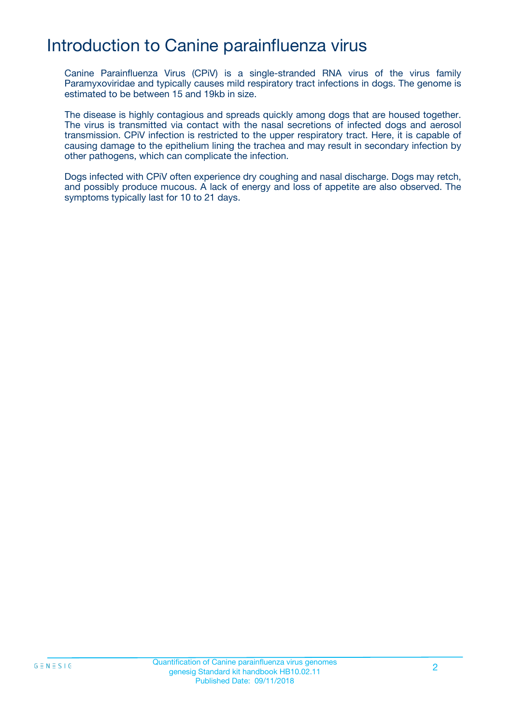# Introduction to Canine parainfluenza virus

Canine Parainfluenza Virus (CPiV) is a single-stranded RNA virus of the virus family Paramyxoviridae and typically causes mild respiratory tract infections in dogs. The genome is estimated to be between 15 and 19kb in size.

The disease is highly contagious and spreads quickly among dogs that are housed together. The virus is transmitted via contact with the nasal secretions of infected dogs and aerosol transmission. CPiV infection is restricted to the upper respiratory tract. Here, it is capable of causing damage to the epithelium lining the trachea and may result in secondary infection by other pathogens, which can complicate the infection.

Dogs infected with CPiV often experience dry coughing and nasal discharge. Dogs may retch, and possibly produce mucous. A lack of energy and loss of appetite are also observed. The symptoms typically last for 10 to 21 days.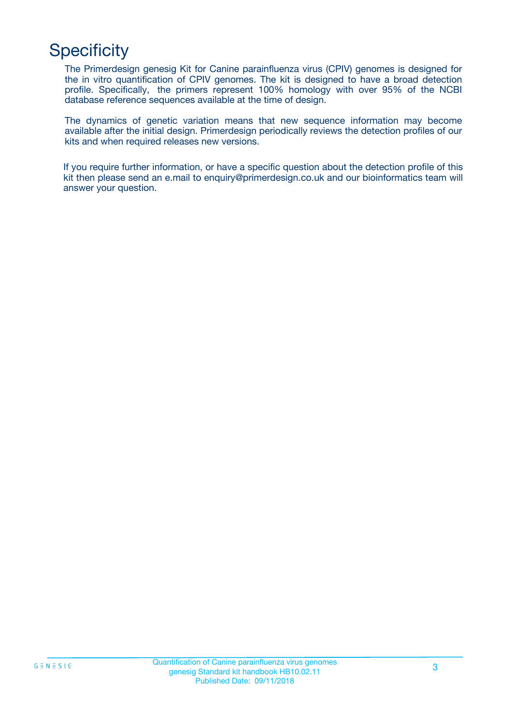# **Specificity**

The Primerdesign genesig Kit for Canine parainfluenza virus (CPIV) genomes is designed for the in vitro quantification of CPIV genomes. The kit is designed to have a broad detection profile. Specifically, the primers represent 100% homology with over 95% of the NCBI database reference sequences available at the time of design.

The dynamics of genetic variation means that new sequence information may become available after the initial design. Primerdesign periodically reviews the detection profiles of our kits and when required releases new versions.

If you require further information, or have a specific question about the detection profile of this kit then please send an e.mail to enquiry@primerdesign.co.uk and our bioinformatics team will answer your question.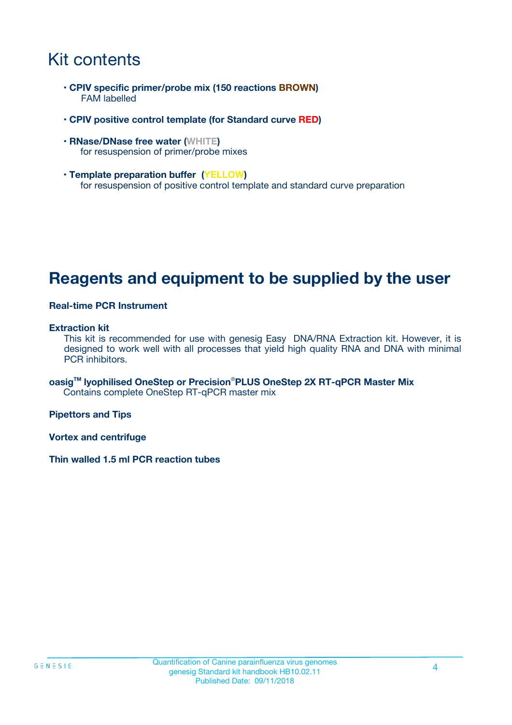# Kit contents

- **CPIV specific primer/probe mix (150 reactions BROWN)** FAM labelled
- **CPIV positive control template (for Standard curve RED)**
- **RNase/DNase free water (WHITE)** for resuspension of primer/probe mixes
- **Template preparation buffer (YELLOW)** for resuspension of positive control template and standard curve preparation

## **Reagents and equipment to be supplied by the user**

#### **Real-time PCR Instrument**

#### **Extraction kit**

This kit is recommended for use with genesig Easy DNA/RNA Extraction kit. However, it is designed to work well with all processes that yield high quality RNA and DNA with minimal PCR inhibitors.

**oasigTM lyophilised OneStep or Precision**®**PLUS OneStep 2X RT-qPCR Master Mix** Contains complete OneStep RT-qPCR master mix

**Pipettors and Tips**

**Vortex and centrifuge**

**Thin walled 1.5 ml PCR reaction tubes**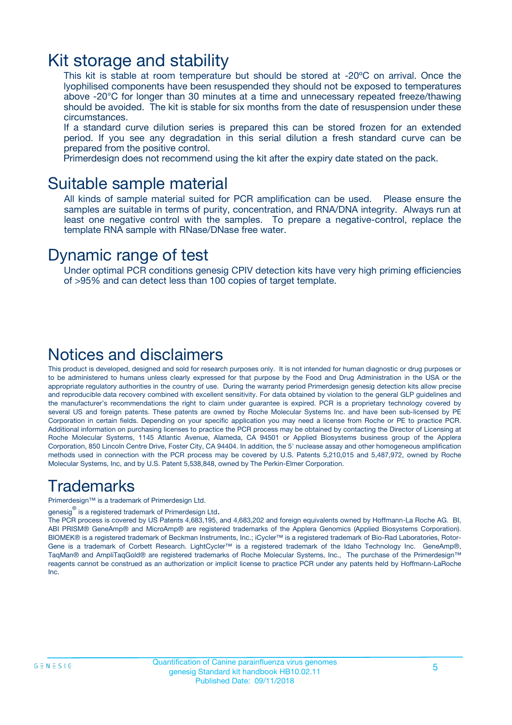### Kit storage and stability

This kit is stable at room temperature but should be stored at -20ºC on arrival. Once the lyophilised components have been resuspended they should not be exposed to temperatures above -20°C for longer than 30 minutes at a time and unnecessary repeated freeze/thawing should be avoided. The kit is stable for six months from the date of resuspension under these circumstances.

If a standard curve dilution series is prepared this can be stored frozen for an extended period. If you see any degradation in this serial dilution a fresh standard curve can be prepared from the positive control.

Primerdesign does not recommend using the kit after the expiry date stated on the pack.

### Suitable sample material

All kinds of sample material suited for PCR amplification can be used. Please ensure the samples are suitable in terms of purity, concentration, and RNA/DNA integrity. Always run at least one negative control with the samples. To prepare a negative-control, replace the template RNA sample with RNase/DNase free water.

### Dynamic range of test

Under optimal PCR conditions genesig CPIV detection kits have very high priming efficiencies of >95% and can detect less than 100 copies of target template.

### Notices and disclaimers

This product is developed, designed and sold for research purposes only. It is not intended for human diagnostic or drug purposes or to be administered to humans unless clearly expressed for that purpose by the Food and Drug Administration in the USA or the appropriate regulatory authorities in the country of use. During the warranty period Primerdesign genesig detection kits allow precise and reproducible data recovery combined with excellent sensitivity. For data obtained by violation to the general GLP guidelines and the manufacturer's recommendations the right to claim under guarantee is expired. PCR is a proprietary technology covered by several US and foreign patents. These patents are owned by Roche Molecular Systems Inc. and have been sub-licensed by PE Corporation in certain fields. Depending on your specific application you may need a license from Roche or PE to practice PCR. Additional information on purchasing licenses to practice the PCR process may be obtained by contacting the Director of Licensing at Roche Molecular Systems, 1145 Atlantic Avenue, Alameda, CA 94501 or Applied Biosystems business group of the Applera Corporation, 850 Lincoln Centre Drive, Foster City, CA 94404. In addition, the 5' nuclease assay and other homogeneous amplification methods used in connection with the PCR process may be covered by U.S. Patents 5,210,015 and 5,487,972, owned by Roche Molecular Systems, Inc, and by U.S. Patent 5,538,848, owned by The Perkin-Elmer Corporation.

### Trademarks

Primerdesign™ is a trademark of Primerdesign Ltd.

genesig $^\circledR$  is a registered trademark of Primerdesign Ltd.

The PCR process is covered by US Patents 4,683,195, and 4,683,202 and foreign equivalents owned by Hoffmann-La Roche AG. BI, ABI PRISM® GeneAmp® and MicroAmp® are registered trademarks of the Applera Genomics (Applied Biosystems Corporation). BIOMEK® is a registered trademark of Beckman Instruments, Inc.; iCycler™ is a registered trademark of Bio-Rad Laboratories, Rotor-Gene is a trademark of Corbett Research. LightCycler™ is a registered trademark of the Idaho Technology Inc. GeneAmp®, TaqMan® and AmpliTaqGold® are registered trademarks of Roche Molecular Systems, Inc., The purchase of the Primerdesign™ reagents cannot be construed as an authorization or implicit license to practice PCR under any patents held by Hoffmann-LaRoche Inc.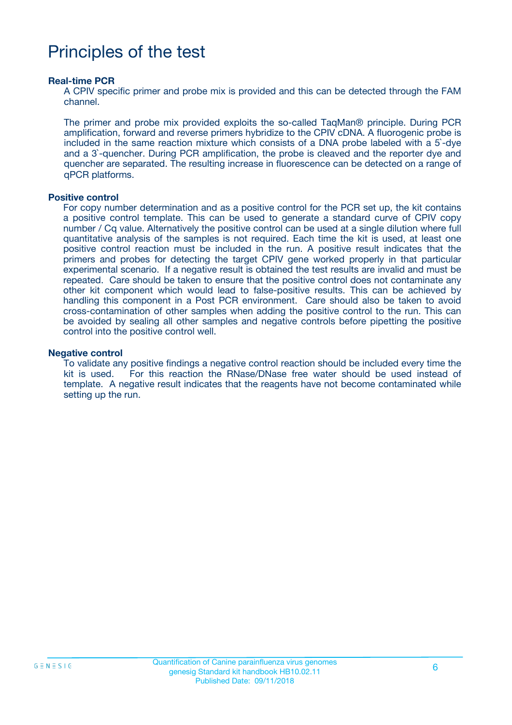# Principles of the test

#### **Real-time PCR**

A CPIV specific primer and probe mix is provided and this can be detected through the FAM channel.

The primer and probe mix provided exploits the so-called TaqMan® principle. During PCR amplification, forward and reverse primers hybridize to the CPIV cDNA. A fluorogenic probe is included in the same reaction mixture which consists of a DNA probe labeled with a 5`-dye and a 3`-quencher. During PCR amplification, the probe is cleaved and the reporter dye and quencher are separated. The resulting increase in fluorescence can be detected on a range of qPCR platforms.

#### **Positive control**

For copy number determination and as a positive control for the PCR set up, the kit contains a positive control template. This can be used to generate a standard curve of CPIV copy number / Cq value. Alternatively the positive control can be used at a single dilution where full quantitative analysis of the samples is not required. Each time the kit is used, at least one positive control reaction must be included in the run. A positive result indicates that the primers and probes for detecting the target CPIV gene worked properly in that particular experimental scenario. If a negative result is obtained the test results are invalid and must be repeated. Care should be taken to ensure that the positive control does not contaminate any other kit component which would lead to false-positive results. This can be achieved by handling this component in a Post PCR environment. Care should also be taken to avoid cross-contamination of other samples when adding the positive control to the run. This can be avoided by sealing all other samples and negative controls before pipetting the positive control into the positive control well.

#### **Negative control**

To validate any positive findings a negative control reaction should be included every time the kit is used. For this reaction the RNase/DNase free water should be used instead of template. A negative result indicates that the reagents have not become contaminated while setting up the run.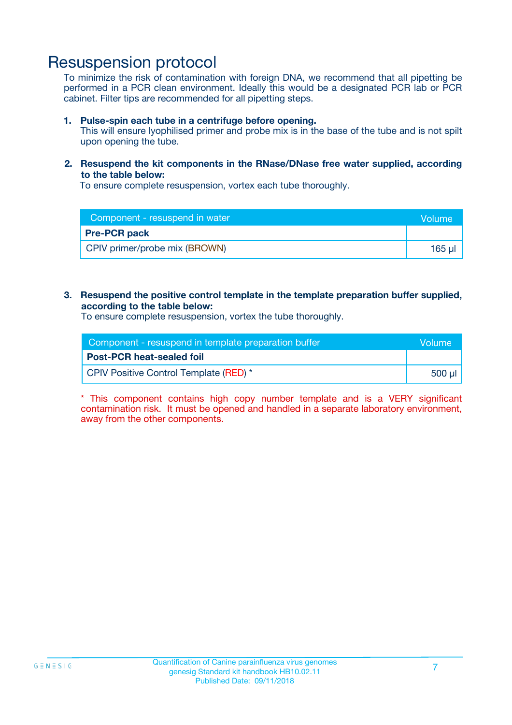### Resuspension protocol

To minimize the risk of contamination with foreign DNA, we recommend that all pipetting be performed in a PCR clean environment. Ideally this would be a designated PCR lab or PCR cabinet. Filter tips are recommended for all pipetting steps.

#### **1. Pulse-spin each tube in a centrifuge before opening.**

This will ensure lyophilised primer and probe mix is in the base of the tube and is not spilt upon opening the tube.

#### **2. Resuspend the kit components in the RNase/DNase free water supplied, according to the table below:**

To ensure complete resuspension, vortex each tube thoroughly.

| Component - resuspend in water | <b>Nolume</b> |
|--------------------------------|---------------|
| <b>Pre-PCR pack</b>            |               |
| CPIV primer/probe mix (BROWN)  | $165$ $\mu$   |

#### **3. Resuspend the positive control template in the template preparation buffer supplied, according to the table below:**

To ensure complete resuspension, vortex the tube thoroughly.

| Component - resuspend in template preparation buffer |        |  |
|------------------------------------------------------|--------|--|
| <b>Post-PCR heat-sealed foil</b>                     |        |  |
| CPIV Positive Control Template (RED) *               | 500 µl |  |

\* This component contains high copy number template and is a VERY significant contamination risk. It must be opened and handled in a separate laboratory environment, away from the other components.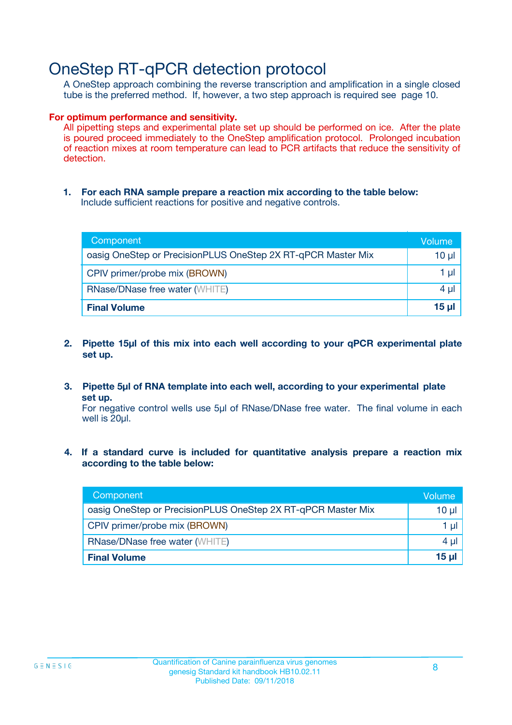## OneStep RT-qPCR detection protocol

A OneStep approach combining the reverse transcription and amplification in a single closed tube is the preferred method. If, however, a two step approach is required see page 10.

#### **For optimum performance and sensitivity.**

All pipetting steps and experimental plate set up should be performed on ice. After the plate is poured proceed immediately to the OneStep amplification protocol. Prolonged incubation of reaction mixes at room temperature can lead to PCR artifacts that reduce the sensitivity of detection.

**1. For each RNA sample prepare a reaction mix according to the table below:** Include sufficient reactions for positive and negative controls.

| Component                                                    | Volume     |
|--------------------------------------------------------------|------------|
| oasig OneStep or PrecisionPLUS OneStep 2X RT-qPCR Master Mix | $10 \mu$   |
| CPIV primer/probe mix (BROWN)                                | 1 µl       |
| <b>RNase/DNase free water (WHITE)</b>                        | 4 µl       |
| <b>Final Volume</b>                                          | $15$ $\mu$ |

- **2. Pipette 15µl of this mix into each well according to your qPCR experimental plate set up.**
- **3. Pipette 5µl of RNA template into each well, according to your experimental plate set up.**

For negative control wells use 5µl of RNase/DNase free water. The final volume in each well is 20ul.

**4. If a standard curve is included for quantitative analysis prepare a reaction mix according to the table below:**

| Component                                                    | Volume   |
|--------------------------------------------------------------|----------|
| oasig OneStep or PrecisionPLUS OneStep 2X RT-qPCR Master Mix | $10 \mu$ |
| CPIV primer/probe mix (BROWN)                                | 1 ul     |
| <b>RNase/DNase free water (WHITE)</b>                        | 4 µl     |
| <b>Final Volume</b>                                          | 15 ul    |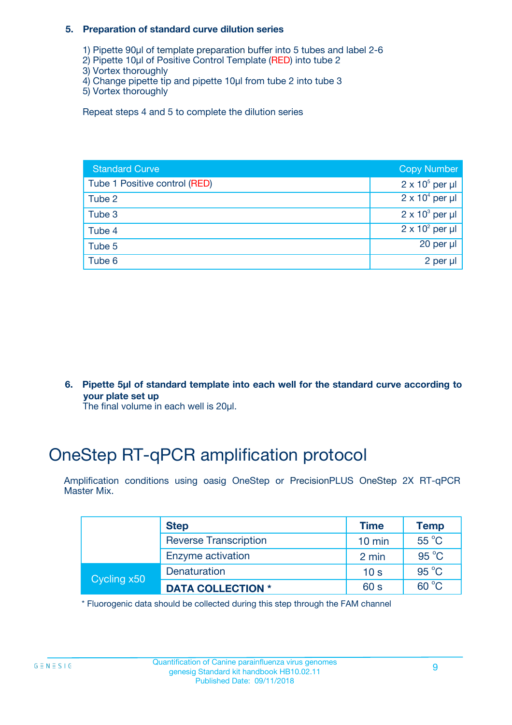#### **5. Preparation of standard curve dilution series**

- 1) Pipette 90µl of template preparation buffer into 5 tubes and label 2-6
- 2) Pipette 10µl of Positive Control Template (RED) into tube 2
- 3) Vortex thoroughly
- 4) Change pipette tip and pipette 10µl from tube 2 into tube 3
- 5) Vortex thoroughly

Repeat steps 4 and 5 to complete the dilution series

| <b>Standard Curve</b>         | <b>Copy Number</b>     |
|-------------------------------|------------------------|
| Tube 1 Positive control (RED) | $2 \times 10^5$ per µl |
| Tube 2                        | $2 \times 10^4$ per µl |
| Tube 3                        | $2 \times 10^3$ per µl |
| Tube 4                        | $2 \times 10^2$ per µl |
| Tube 5                        | 20 per $\mu$           |
| Tube 6                        | 2 per µl               |

**6. Pipette 5µl of standard template into each well for the standard curve according to your plate set up**

The final volume in each well is 20ul.

# OneStep RT-qPCR amplification protocol

Amplification conditions using oasig OneStep or PrecisionPLUS OneStep 2X RT-qPCR Master Mix.

|             | <b>Step</b>                  | <b>Time</b>      | <b>Temp</b>    |
|-------------|------------------------------|------------------|----------------|
|             | <b>Reverse Transcription</b> | $10 \text{ min}$ | $55^{\circ}$ C |
|             | Enzyme activation            | 2 min            | $95^{\circ}$ C |
| Cycling x50 | Denaturation                 | 10 <sub>s</sub>  | $95^{\circ}$ C |
|             | <b>DATA COLLECTION *</b>     | 60 s             | $60^{\circ}$ C |

\* Fluorogenic data should be collected during this step through the FAM channel